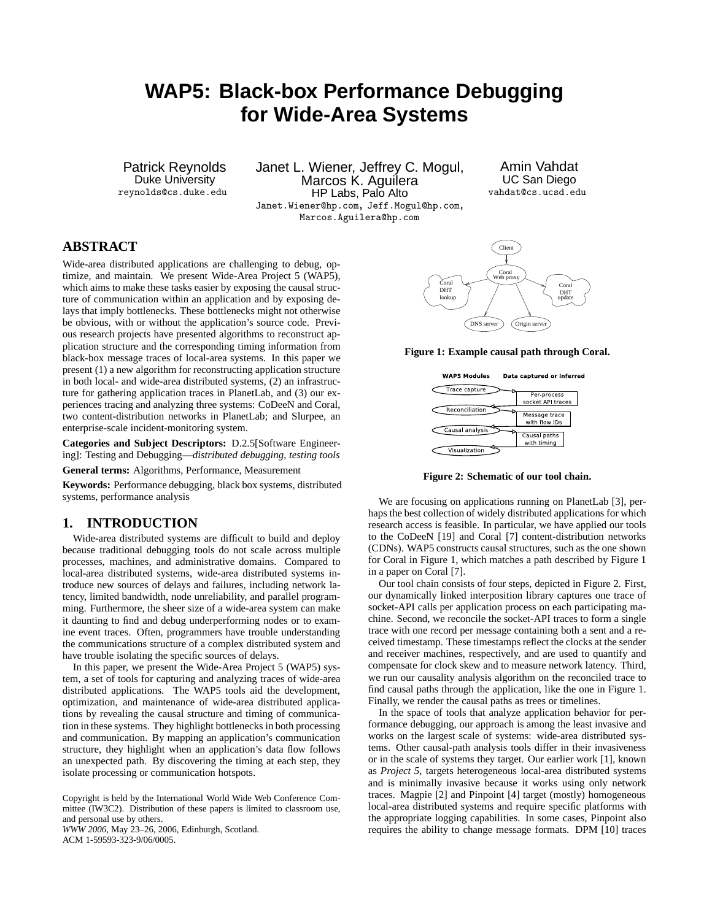# **WAP5: Black-box Performance Debugging for Wide-Area Systems**

Patrick Reynolds Duke University reynolds@cs.duke.edu Janet L. Wiener, Jeffrey C. Mogul, Marcos K. Aguilera HP Labs, Palo Alto Janet.Wiener@hp.com, Jeff.Mogul@hp.com, Marcos.Aguilera@hp.com

Amin Vahdat UC San Diego vahdat@cs.ucsd.edu

## **ABSTRACT**

Wide-area distributed applications are challenging to debug, optimize, and maintain. We present Wide-Area Project 5 (WAP5), which aims to make these tasks easier by exposing the causal structure of communication within an application and by exposing delays that imply bottlenecks. These bottlenecks might not otherwise be obvious, with or without the application's source code. Previous research projects have presented algorithms to reconstruct application structure and the corresponding timing information from black-box message traces of local-area systems. In this paper we present (1) a new algorithm for reconstructing application structure in both local- and wide-area distributed systems, (2) an infrastructure for gathering application traces in PlanetLab, and (3) our experiences tracing and analyzing three systems: CoDeeN and Coral, two content-distribution networks in PlanetLab; and Slurpee, an enterprise-scale incident-monitoring system.

**Categories and Subject Descriptors:** D.2.5[Software Engineering]: Testing and Debugging—*distributed debugging, testing tools*

**General terms:** Algorithms, Performance, Measurement

**Keywords:** Performance debugging, black box systems, distributed systems, performance analysis

## **1. INTRODUCTION**

Wide-area distributed systems are difficult to build and deploy because traditional debugging tools do not scale across multiple processes, machines, and administrative domains. Compared to local-area distributed systems, wide-area distributed systems introduce new sources of delays and failures, including network latency, limited bandwidth, node unreliability, and parallel programming. Furthermore, the sheer size of a wide-area system can make it daunting to find and debug underperforming nodes or to examine event traces. Often, programmers have trouble understanding the communications structure of a complex distributed system and have trouble isolating the specific sources of delays.

In this paper, we present the Wide-Area Project 5 (WAP5) system, a set of tools for capturing and analyzing traces of wide-area distributed applications. The WAP5 tools aid the development, optimization, and maintenance of wide-area distributed applications by revealing the causal structure and timing of communication in these systems. They highlight bottlenecks in both processing and communication. By mapping an application's communication structure, they highlight when an application's data flow follows an unexpected path. By discovering the timing at each step, they isolate processing or communication hotspots.

ACM 1-59593-323-9/06/0005.



**Figure 1: Example causal path through Coral.**

| <b>WAP5 Modules</b> | Data captured or inferred      |  |
|---------------------|--------------------------------|--|
| Trace capture       | Per process                    |  |
|                     | socket API traces              |  |
| Reconciliation      | Message trace<br>with flow IDs |  |
| Causal analysis     | Causal paths<br>with timing    |  |
| Visualization       |                                |  |

**Figure 2: Schematic of our tool chain.**

We are focusing on applications running on PlanetLab [3], perhaps the best collection of widely distributed applications for which research access is feasible. In particular, we have applied our tools to the CoDeeN [19] and Coral [7] content-distribution networks (CDNs). WAP5 constructs causal structures, such as the one shown for Coral in Figure 1, which matches a path described by Figure 1 in a paper on Coral [7].

Our tool chain consists of four steps, depicted in Figure 2. First, our dynamically linked interposition library captures one trace of socket-API calls per application process on each participating machine. Second, we reconcile the socket-API traces to form a single trace with one record per message containing both a sent and a received timestamp. These timestamps reflect the clocks at the sender and receiver machines, respectively, and are used to quantify and compensate for clock skew and to measure network latency. Third, we run our causality analysis algorithm on the reconciled trace to find causal paths through the application, like the one in Figure 1. Finally, we render the causal paths as trees or timelines.

In the space of tools that analyze application behavior for performance debugging, our approach is among the least invasive and works on the largest scale of systems: wide-area distributed systems. Other causal-path analysis tools differ in their invasiveness or in the scale of systems they target. Our earlier work [1], known as *Project 5*, targets heterogeneous local-area distributed systems and is minimally invasive because it works using only network traces. Magpie [2] and Pinpoint [4] target (mostly) homogeneous local-area distributed systems and require specific platforms with the appropriate logging capabilities. In some cases, Pinpoint also requires the ability to change message formats. DPM [10] traces

Copyright is held by the International World Wide Web Conference Committee (IW3C2). Distribution of these papers is limited to classroom use, and personal use by others. *WWW 2006*, May 23–26, 2006, Edinburgh, Scotland.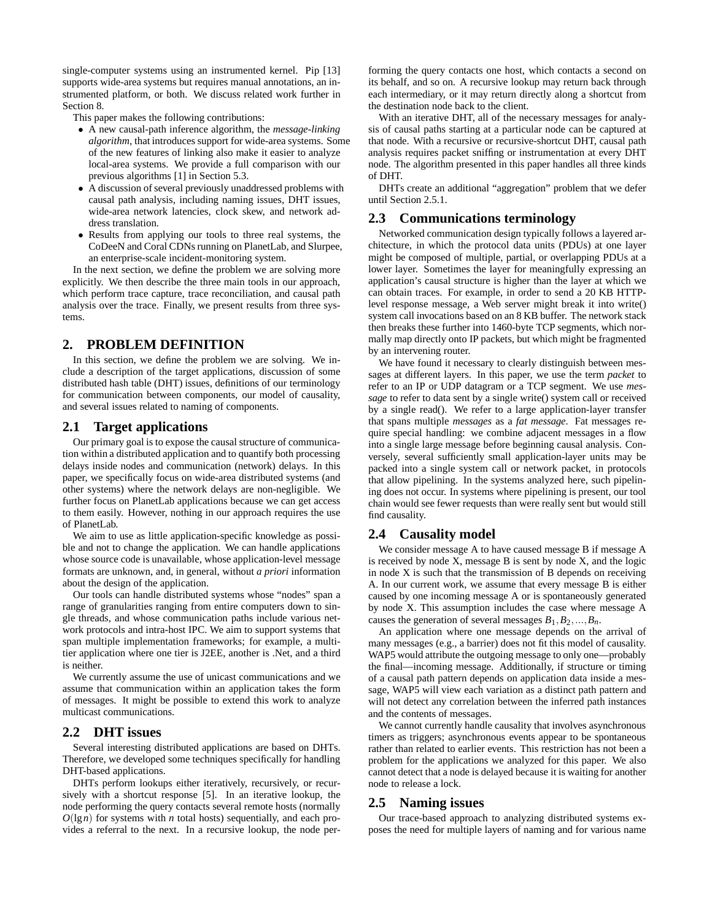single-computer systems using an instrumented kernel. Pip [13] supports wide-area systems but requires manual annotations, an instrumented platform, or both. We discuss related work further in Section 8.

This paper makes the following contributions:

- A new causal-path inference algorithm, the *message-linking algorithm*, that introduces support for wide-area systems. Some of the new features of linking also make it easier to analyze local-area systems. We provide a full comparison with our previous algorithms [1] in Section 5.3.
- A discussion of several previously unaddressed problems with causal path analysis, including naming issues, DHT issues, wide-area network latencies, clock skew, and network address translation.
- Results from applying our tools to three real systems, the CoDeeN and Coral CDNs running on PlanetLab, and Slurpee, an enterprise-scale incident-monitoring system.

In the next section, we define the problem we are solving more explicitly. We then describe the three main tools in our approach, which perform trace capture, trace reconciliation, and causal path analysis over the trace. Finally, we present results from three systems.

## **2. PROBLEM DEFINITION**

In this section, we define the problem we are solving. We include a description of the target applications, discussion of some distributed hash table (DHT) issues, definitions of our terminology for communication between components, our model of causality, and several issues related to naming of components.

## **2.1 Target applications**

Our primary goal is to expose the causal structure of communication within a distributed application and to quantify both processing delays inside nodes and communication (network) delays. In this paper, we specifically focus on wide-area distributed systems (and other systems) where the network delays are non-negligible. We further focus on PlanetLab applications because we can get access to them easily. However, nothing in our approach requires the use of PlanetLab.

We aim to use as little application-specific knowledge as possible and not to change the application. We can handle applications whose source code is unavailable, whose application-level message formats are unknown, and, in general, without *a priori* information about the design of the application.

Our tools can handle distributed systems whose "nodes" span a range of granularities ranging from entire computers down to single threads, and whose communication paths include various network protocols and intra-host IPC. We aim to support systems that span multiple implementation frameworks; for example, a multitier application where one tier is J2EE, another is .Net, and a third is neither.

We currently assume the use of unicast communications and we assume that communication within an application takes the form of messages. It might be possible to extend this work to analyze multicast communications.

#### **2.2 DHT issues**

Several interesting distributed applications are based on DHTs. Therefore, we developed some techniques specifically for handling DHT-based applications.

DHTs perform lookups either iteratively, recursively, or recursively with a shortcut response [5]. In an iterative lookup, the node performing the query contacts several remote hosts (normally  $O(\lg n)$  for systems with *n* total hosts) sequentially, and each provides a referral to the next. In a recursive lookup, the node performing the query contacts one host, which contacts a second on its behalf, and so on. A recursive lookup may return back through each intermediary, or it may return directly along a shortcut from the destination node back to the client.

With an iterative DHT, all of the necessary messages for analysis of causal paths starting at a particular node can be captured at that node. With a recursive or recursive-shortcut DHT, causal path analysis requires packet sniffing or instrumentation at every DHT node. The algorithm presented in this paper handles all three kinds of DHT.

DHTs create an additional "aggregation" problem that we defer until Section 2.5.1.

## **2.3 Communications terminology**

Networked communication design typically follows a layered architecture, in which the protocol data units (PDUs) at one layer might be composed of multiple, partial, or overlapping PDUs at a lower layer. Sometimes the layer for meaningfully expressing an application's causal structure is higher than the layer at which we can obtain traces. For example, in order to send a 20 KB HTTPlevel response message, a Web server might break it into write() system call invocations based on an 8 KB buffer. The network stack then breaks these further into 1460-byte TCP segments, which normally map directly onto IP packets, but which might be fragmented by an intervening router.

We have found it necessary to clearly distinguish between messages at different layers. In this paper, we use the term *packet* to refer to an IP or UDP datagram or a TCP segment. We use *message* to refer to data sent by a single write() system call or received by a single read(). We refer to a large application-layer transfer that spans multiple *messages* as a *fat message*. Fat messages require special handling: we combine adjacent messages in a flow into a single large message before beginning causal analysis. Conversely, several sufficiently small application-layer units may be packed into a single system call or network packet, in protocols that allow pipelining. In the systems analyzed here, such pipelining does not occur. In systems where pipelining is present, our tool chain would see fewer requests than were really sent but would still find causality.

#### **2.4 Causality model**

We consider message A to have caused message B if message A is received by node X, message B is sent by node X, and the logic in node  $X$  is such that the transmission of  $B$  depends on receiving A. In our current work, we assume that every message B is either caused by one incoming message A or is spontaneously generated by node X. This assumption includes the case where message A causes the generation of several messages  $B_1, B_2, \ldots, B_n$ .

An application where one message depends on the arrival of many messages (e.g., a barrier) does not fit this model of causality. WAP5 would attribute the outgoing message to only one—probably the final—incoming message. Additionally, if structure or timing of a causal path pattern depends on application data inside a message, WAP5 will view each variation as a distinct path pattern and will not detect any correlation between the inferred path instances and the contents of messages.

We cannot currently handle causality that involves asynchronous timers as triggers; asynchronous events appear to be spontaneous rather than related to earlier events. This restriction has not been a problem for the applications we analyzed for this paper. We also cannot detect that a node is delayed because it is waiting for another node to release a lock.

#### **2.5 Naming issues**

Our trace-based approach to analyzing distributed systems exposes the need for multiple layers of naming and for various name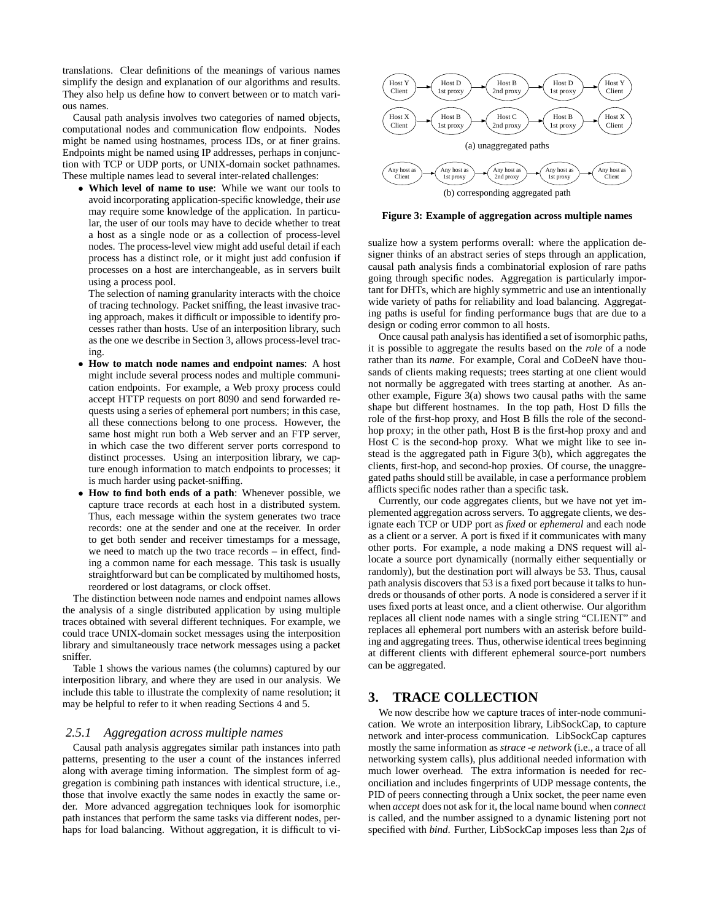translations. Clear definitions of the meanings of various names simplify the design and explanation of our algorithms and results. They also help us define how to convert between or to match various names.

Causal path analysis involves two categories of named objects, computational nodes and communication flow endpoints. Nodes might be named using hostnames, process IDs, or at finer grains. Endpoints might be named using IP addresses, perhaps in conjunction with TCP or UDP ports, or UNIX-domain socket pathnames. These multiple names lead to several inter-related challenges:

• **Which level of name to use**: While we want our tools to avoid incorporating application-specific knowledge, their *use* may require some knowledge of the application. In particular, the user of our tools may have to decide whether to treat a host as a single node or as a collection of process-level nodes. The process-level view might add useful detail if each process has a distinct role, or it might just add confusion if processes on a host are interchangeable, as in servers built using a process pool.

The selection of naming granularity interacts with the choice of tracing technology. Packet sniffing, the least invasive tracing approach, makes it difficult or impossible to identify processes rather than hosts. Use of an interposition library, such as the one we describe in Section 3, allows process-level tracing.

- **How to match node names and endpoint names**: A host might include several process nodes and multiple communication endpoints. For example, a Web proxy process could accept HTTP requests on port 8090 and send forwarded requests using a series of ephemeral port numbers; in this case, all these connections belong to one process. However, the same host might run both a Web server and an FTP server, in which case the two different server ports correspond to distinct processes. Using an interposition library, we capture enough information to match endpoints to processes; it is much harder using packet-sniffing.
- **How to find both ends of a path**: Whenever possible, we capture trace records at each host in a distributed system. Thus, each message within the system generates two trace records: one at the sender and one at the receiver. In order to get both sender and receiver timestamps for a message, we need to match up the two trace records – in effect, finding a common name for each message. This task is usually straightforward but can be complicated by multihomed hosts, reordered or lost datagrams, or clock offset.

The distinction between node names and endpoint names allows the analysis of a single distributed application by using multiple traces obtained with several different techniques. For example, we could trace UNIX-domain socket messages using the interposition library and simultaneously trace network messages using a packet sniffer.

Table 1 shows the various names (the columns) captured by our interposition library, and where they are used in our analysis. We include this table to illustrate the complexity of name resolution; it may be helpful to refer to it when reading Sections 4 and 5.

#### *2.5.1 Aggregation across multiple names*

Causal path analysis aggregates similar path instances into path patterns, presenting to the user a count of the instances inferred along with average timing information. The simplest form of aggregation is combining path instances with identical structure, i.e., those that involve exactly the same nodes in exactly the same order. More advanced aggregation techniques look for isomorphic path instances that perform the same tasks via different nodes, perhaps for load balancing. Without aggregation, it is difficult to vi-



**Figure 3: Example of aggregation across multiple names**

sualize how a system performs overall: where the application designer thinks of an abstract series of steps through an application, causal path analysis finds a combinatorial explosion of rare paths going through specific nodes. Aggregation is particularly important for DHTs, which are highly symmetric and use an intentionally wide variety of paths for reliability and load balancing. Aggregating paths is useful for finding performance bugs that are due to a design or coding error common to all hosts.

Once causal path analysis has identified a set of isomorphic paths, it is possible to aggregate the results based on the *role* of a node rather than its *name*. For example, Coral and CoDeeN have thousands of clients making requests; trees starting at one client would not normally be aggregated with trees starting at another. As another example, Figure 3(a) shows two causal paths with the same shape but different hostnames. In the top path, Host D fills the role of the first-hop proxy, and Host B fills the role of the secondhop proxy; in the other path, Host B is the first-hop proxy and and Host C is the second-hop proxy. What we might like to see instead is the aggregated path in Figure 3(b), which aggregates the clients, first-hop, and second-hop proxies. Of course, the unaggregated paths should still be available, in case a performance problem afflicts specific nodes rather than a specific task.

Currently, our code aggregates clients, but we have not yet implemented aggregation across servers. To aggregate clients, we designate each TCP or UDP port as *fixed* or *ephemeral* and each node as a client or a server. A port is fixed if it communicates with many other ports. For example, a node making a DNS request will allocate a source port dynamically (normally either sequentially or randomly), but the destination port will always be 53. Thus, causal path analysis discovers that 53 is a fixed port because it talks to hundreds or thousands of other ports. A node is considered a server if it uses fixed ports at least once, and a client otherwise. Our algorithm replaces all client node names with a single string "CLIENT" and replaces all ephemeral port numbers with an asterisk before building and aggregating trees. Thus, otherwise identical trees beginning at different clients with different ephemeral source-port numbers can be aggregated.

## **3. TRACE COLLECTION**

We now describe how we capture traces of inter-node communication. We wrote an interposition library, LibSockCap, to capture network and inter-process communication. LibSockCap captures mostly the same information as *strace -e network* (i.e., a trace of all networking system calls), plus additional needed information with much lower overhead. The extra information is needed for reconciliation and includes fingerprints of UDP message contents, the PID of peers connecting through a Unix socket, the peer name even when *accept* does not ask for it, the local name bound when *connect* is called, and the number assigned to a dynamic listening port not specified with *bind*. Further, LibSockCap imposes less than 2*µs* of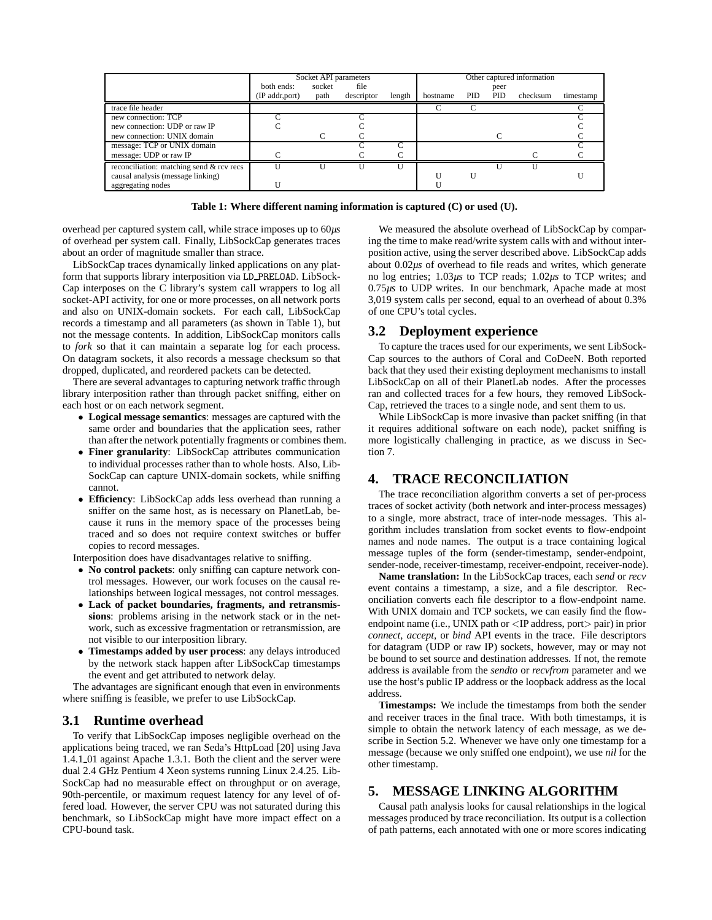|                                          | Socket API parameters |        |            | Other captured information |          |            |            |          |           |
|------------------------------------------|-----------------------|--------|------------|----------------------------|----------|------------|------------|----------|-----------|
|                                          | both ends:            | socket | file       |                            |          |            | peer       |          |           |
|                                          | (IP addr.port)        | path   | descriptor | length                     | hostname | <b>PID</b> | <b>PID</b> | checksum | timestamp |
| trace file header                        |                       |        |            |                            |          |            |            |          |           |
| new connection: TCP                      |                       |        |            |                            |          |            |            |          |           |
| new connection: UDP or raw IP            |                       |        |            |                            |          |            |            |          |           |
| new connection: UNIX domain              |                       |        |            |                            |          |            |            |          |           |
| message: TCP or UNIX domain              |                       |        |            |                            |          |            |            |          |           |
| message: UDP or raw IP                   |                       |        |            |                            |          |            |            |          |           |
| reconciliation: matching send & rcv recs |                       |        |            |                            |          |            |            |          |           |
| causal analysis (message linking)        |                       |        |            |                            |          | U          |            |          |           |
| aggregating nodes                        |                       |        |            |                            |          |            |            |          |           |

**Table 1: Where different naming information is captured (C) or used (U).**

overhead per captured system call, while strace imposes up to 60*µs* of overhead per system call. Finally, LibSockCap generates traces about an order of magnitude smaller than strace.

LibSockCap traces dynamically linked applications on any platform that supports library interposition via LD PRELOAD. LibSock-Cap interposes on the C library's system call wrappers to log all socket-API activity, for one or more processes, on all network ports and also on UNIX-domain sockets. For each call, LibSockCap records a timestamp and all parameters (as shown in Table 1), but not the message contents. In addition, LibSockCap monitors calls to *fork* so that it can maintain a separate log for each process. On datagram sockets, it also records a message checksum so that dropped, duplicated, and reordered packets can be detected.

There are several advantages to capturing network traffic through library interposition rather than through packet sniffing, either on each host or on each network segment.

- **Logical message semantics**: messages are captured with the same order and boundaries that the application sees, rather than after the network potentially fragments or combines them.
- **Finer granularity**: LibSockCap attributes communication to individual processes rather than to whole hosts. Also, Lib-SockCap can capture UNIX-domain sockets, while sniffing cannot.
- **Efficiency**: LibSockCap adds less overhead than running a sniffer on the same host, as is necessary on PlanetLab, because it runs in the memory space of the processes being traced and so does not require context switches or buffer copies to record messages.

Interposition does have disadvantages relative to sniffing.

- **No control packets**: only sniffing can capture network control messages. However, our work focuses on the causal relationships between logical messages, not control messages.
- **Lack of packet boundaries, fragments, and retransmissions**: problems arising in the network stack or in the network, such as excessive fragmentation or retransmission, are not visible to our interposition library.
- **Timestamps added by user process**: any delays introduced by the network stack happen after LibSockCap timestamps the event and get attributed to network delay.

The advantages are significant enough that even in environments where sniffing is feasible, we prefer to use LibSockCap.

## **3.1 Runtime overhead**

To verify that LibSockCap imposes negligible overhead on the applications being traced, we ran Seda's HttpLoad [20] using Java 1.4.1 01 against Apache 1.3.1. Both the client and the server were dual 2.4 GHz Pentium 4 Xeon systems running Linux 2.4.25. Lib-SockCap had no measurable effect on throughput or on average, 90th-percentile, or maximum request latency for any level of offered load. However, the server CPU was not saturated during this benchmark, so LibSockCap might have more impact effect on a CPU-bound task.

We measured the absolute overhead of LibSockCap by comparing the time to make read/write system calls with and without interposition active, using the server described above. LibSockCap adds about 0.02*µs* of overhead to file reads and writes, which generate no log entries; 1.03*µs* to TCP reads; 1.02*µs* to TCP writes; and 0.75*µs* to UDP writes. In our benchmark, Apache made at most 3,019 system calls per second, equal to an overhead of about 0.3% of one CPU's total cycles.

## **3.2 Deployment experience**

To capture the traces used for our experiments, we sent LibSock-Cap sources to the authors of Coral and CoDeeN. Both reported back that they used their existing deployment mechanisms to install LibSockCap on all of their PlanetLab nodes. After the processes ran and collected traces for a few hours, they removed LibSock-Cap, retrieved the traces to a single node, and sent them to us.

While LibSockCap is more invasive than packet sniffing (in that it requires additional software on each node), packet sniffing is more logistically challenging in practice, as we discuss in Section 7.

# **4. TRACE RECONCILIATION**

The trace reconciliation algorithm converts a set of per-process traces of socket activity (both network and inter-process messages) to a single, more abstract, trace of inter-node messages. This algorithm includes translation from socket events to flow-endpoint names and node names. The output is a trace containing logical message tuples of the form (sender-timestamp, sender-endpoint, sender-node, receiver-timestamp, receiver-endpoint, receiver-node).

**Name translation:** In the LibSockCap traces, each *send* or *recv* event contains a timestamp, a size, and a file descriptor. Reconciliation converts each file descriptor to a flow-endpoint name. With UNIX domain and TCP sockets, we can easily find the flowendpoint name (i.e., UNIX path or <IP address, port> pair) in prior *connect*, *accept*, or *bind* API events in the trace. File descriptors for datagram (UDP or raw IP) sockets, however, may or may not be bound to set source and destination addresses. If not, the remote address is available from the *sendto* or *recvfrom* parameter and we use the host's public IP address or the loopback address as the local address.

**Timestamps:** We include the timestamps from both the sender and receiver traces in the final trace. With both timestamps, it is simple to obtain the network latency of each message, as we describe in Section 5.2. Whenever we have only one timestamp for a message (because we only sniffed one endpoint), we use *nil* for the other timestamp.

## **5. MESSAGE LINKING ALGORITHM**

Causal path analysis looks for causal relationships in the logical messages produced by trace reconciliation. Its output is a collection of path patterns, each annotated with one or more scores indicating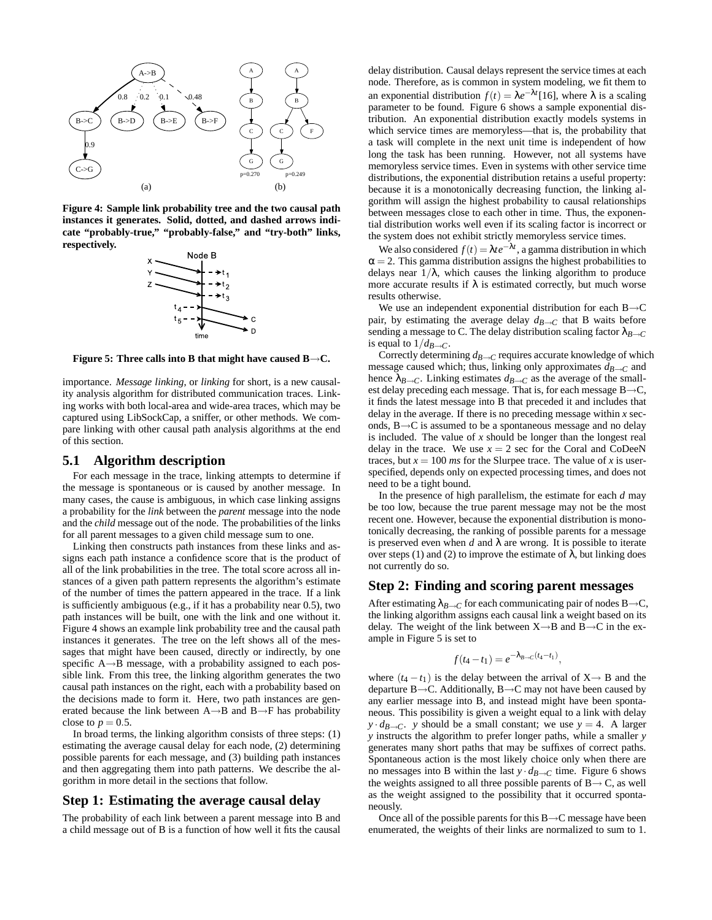

**Figure 4: Sample link probability tree and the two causal path instances it generates. Solid, dotted, and dashed arrows indicate "probably-true," "probably-false," and "try-both" links, respectively.**



**Figure 5: Three calls into B that might have caused B**→**C.**

importance. *Message linking*, or *linking* for short, is a new causality analysis algorithm for distributed communication traces. Linking works with both local-area and wide-area traces, which may be captured using LibSockCap, a sniffer, or other methods. We compare linking with other causal path analysis algorithms at the end of this section.

#### **5.1 Algorithm description**

For each message in the trace, linking attempts to determine if the message is spontaneous or is caused by another message. In many cases, the cause is ambiguous, in which case linking assigns a probability for the *link* between the *parent* message into the node and the *child* message out of the node. The probabilities of the links for all parent messages to a given child message sum to one.

Linking then constructs path instances from these links and assigns each path instance a confidence score that is the product of all of the link probabilities in the tree. The total score across all instances of a given path pattern represents the algorithm's estimate of the number of times the pattern appeared in the trace. If a link is sufficiently ambiguous (e.g., if it has a probability near 0.5), two path instances will be built, one with the link and one without it. Figure 4 shows an example link probability tree and the causal path instances it generates. The tree on the left shows all of the messages that might have been caused, directly or indirectly, by one specific A→B message, with a probability assigned to each possible link. From this tree, the linking algorithm generates the two causal path instances on the right, each with a probability based on the decisions made to form it. Here, two path instances are generated because the link between  $A \rightarrow B$  and  $B \rightarrow F$  has probability close to  $p = 0.5$ .

In broad terms, the linking algorithm consists of three steps: (1) estimating the average causal delay for each node, (2) determining possible parents for each message, and (3) building path instances and then aggregating them into path patterns. We describe the algorithm in more detail in the sections that follow.

#### **Step 1: Estimating the average causal delay**

The probability of each link between a parent message into B and a child message out of B is a function of how well it fits the causal delay distribution. Causal delays represent the service times at each node. Therefore, as is common in system modeling, we fit them to an exponential distribution  $f(t) = \lambda e^{-\lambda t} [16]$ , where  $\lambda$  is a scaling parameter to be found. Figure 6 shows a sample exponential distribution. An exponential distribution exactly models systems in which service times are memoryless—that is, the probability that a task will complete in the next unit time is independent of how long the task has been running. However, not all systems have memoryless service times. Even in systems with other service time distributions, the exponential distribution retains a useful property: because it is a monotonically decreasing function, the linking algorithm will assign the highest probability to causal relationships between messages close to each other in time. Thus, the exponential distribution works well even if its scaling factor is incorrect or the system does not exhibit strictly memoryless service times.

We also considered  $f(t) = \lambda t e^{-\lambda t}$ , a gamma distribution in which  $\alpha = 2$ . This gamma distribution assigns the highest probabilities to delays near  $1/\lambda$ , which causes the linking algorithm to produce more accurate results if  $\lambda$  is estimated correctly, but much worse results otherwise.

We use an independent exponential distribution for each  $B\rightarrow C$ pair, by estimating the average delay  $d_{B\to C}$  that B waits before sending a message to C. The delay distribution scaling factor  $\lambda_{B\rightarrow C}$ is equal to  $1/d_{B\to C}$ .

Correctly determining  $d_{B\rightarrow C}$  requires accurate knowledge of which message caused which; thus, linking only approximates  $d_{B\rightarrow C}$  and hence  $\lambda_{B\rightarrow C}$ . Linking estimates  $d_{B\rightarrow C}$  as the average of the smallest delay preceding each message. That is, for each message B→C, it finds the latest message into B that preceded it and includes that delay in the average. If there is no preceding message within *x* seconds,  $B \rightarrow C$  is assumed to be a spontaneous message and no delay is included. The value of *x* should be longer than the longest real delay in the trace. We use  $x = 2$  sec for the Coral and CoDeeN traces, but  $x = 100$  *ms* for the Slurpee trace. The value of *x* is userspecified, depends only on expected processing times, and does not need to be a tight bound.

In the presence of high parallelism, the estimate for each *d* may be too low, because the true parent message may not be the most recent one. However, because the exponential distribution is monotonically decreasing, the ranking of possible parents for a message is preserved even when *d* and  $\lambda$  are wrong. It is possible to iterate over steps (1) and (2) to improve the estimate of  $\lambda$ , but linking does not currently do so.

#### **Step 2: Finding and scoring parent messages**

After estimating  $\lambda_{B\rightarrow C}$  for each communicating pair of nodes B $\rightarrow C$ , the linking algorithm assigns each causal link a weight based on its delay. The weight of the link between X→B and B→C in the example in Figure 5 is set to

$$
f(t_4-t_1) = e^{-\lambda_{B \to C}(t_4-t_1)},
$$

where  $(t_4 - t_1)$  is the delay between the arrival of  $X \rightarrow B$  and the departure B→C. Additionally, B→C may not have been caused by any earlier message into B, and instead might have been spontaneous. This possibility is given a weight equal to a link with delay  $y \cdot d_{B \to C}$ . *y* should be a small constant; we use  $y = 4$ . A larger *y* instructs the algorithm to prefer longer paths, while a smaller *y* generates many short paths that may be suffixes of correct paths. Spontaneous action is the most likely choice only when there are no messages into B within the last  $y \cdot d_{B \to C}$  time. Figure 6 shows the weights assigned to all three possible parents of  $B \rightarrow C$ , as well as the weight assigned to the possibility that it occurred spontaneously.

Once all of the possible parents for this B→C message have been enumerated, the weights of their links are normalized to sum to 1.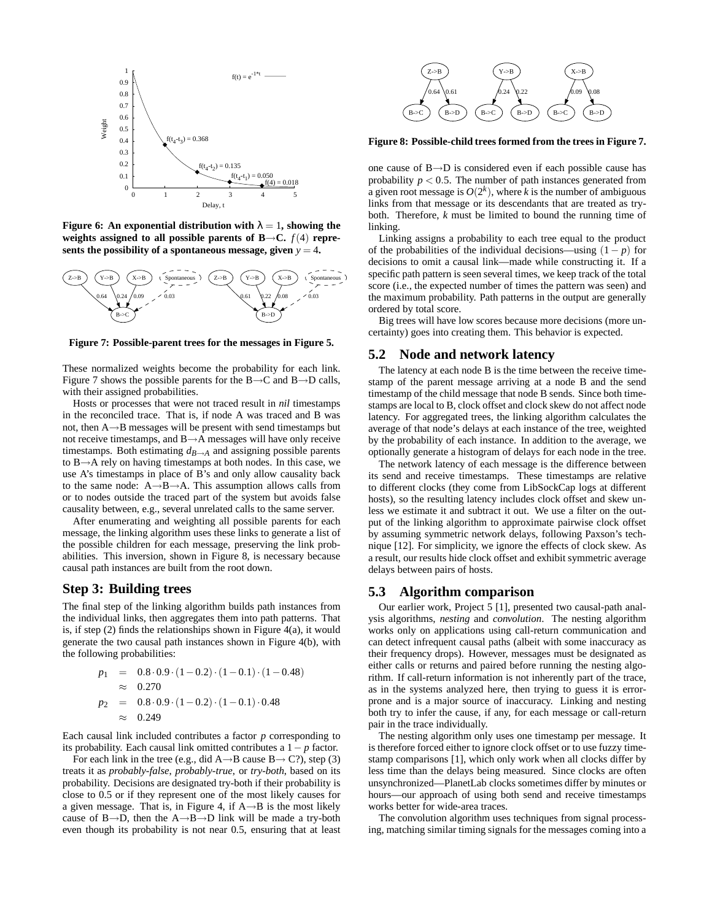

**Figure 6:** An exponential distribution with  $\lambda = 1$ , showing the **weights assigned to all possible parents of B** $\rightarrow$ **C.** *f*(4) **represents the possibility of a spontaneous message, given**  $y = 4$ .



**Figure 7: Possible-parent trees for the messages in Figure 5.**

These normalized weights become the probability for each link. Figure 7 shows the possible parents for the  $B \rightarrow C$  and  $B \rightarrow D$  calls, with their assigned probabilities.

Hosts or processes that were not traced result in *nil* timestamps in the reconciled trace. That is, if node A was traced and B was not, then A→B messages will be present with send timestamps but not receive timestamps, and B→A messages will have only receive timestamps. Both estimating  $d_{B\rightarrow A}$  and assigning possible parents to B→A rely on having timestamps at both nodes. In this case, we use A's timestamps in place of B's and only allow causality back to the same node:  $A \rightarrow B \rightarrow A$ . This assumption allows calls from or to nodes outside the traced part of the system but avoids false causality between, e.g., several unrelated calls to the same server.

After enumerating and weighting all possible parents for each message, the linking algorithm uses these links to generate a list of the possible children for each message, preserving the link probabilities. This inversion, shown in Figure 8, is necessary because causal path instances are built from the root down.

#### **Step 3: Building trees**

The final step of the linking algorithm builds path instances from the individual links, then aggregates them into path patterns. That is, if step (2) finds the relationships shown in Figure 4(a), it would generate the two causal path instances shown in Figure 4(b), with the following probabilities:

$$
p_1 = 0.8 \cdot 0.9 \cdot (1 - 0.2) \cdot (1 - 0.1) \cdot (1 - 0.48)
$$
  
\n
$$
\approx 0.270
$$
  
\n
$$
p_2 = 0.8 \cdot 0.9 \cdot (1 - 0.2) \cdot (1 - 0.1) \cdot 0.48
$$
  
\n
$$
\approx 0.249
$$

Each causal link included contributes a factor *p* corresponding to its probability. Each causal link omitted contributes a 1− *p* factor.

For each link in the tree (e.g., did  $A \rightarrow B$  cause  $B \rightarrow C$ ?), step (3) treats it as *probably-false*, *probably-true*, or *try-both*, based on its probability. Decisions are designated try-both if their probability is close to 0.5 or if they represent one of the most likely causes for a given message. That is, in Figure 4, if  $A \rightarrow B$  is the most likely cause of  $B\rightarrow D$ , then the  $A\rightarrow B\rightarrow D$  link will be made a try-both even though its probability is not near 0.5, ensuring that at least



**Figure 8: Possible-child trees formed from the trees in Figure 7.**

one cause of B→D is considered even if each possible cause has probability  $p < 0.5$ . The number of path instances generated from a given root message is  $O(2^k)$ , where *k* is the number of ambiguous links from that message or its descendants that are treated as tryboth. Therefore, *k* must be limited to bound the running time of linking.

Linking assigns a probability to each tree equal to the product of the probabilities of the individual decisions—using  $(1 - p)$  for decisions to omit a causal link—made while constructing it. If a specific path pattern is seen several times, we keep track of the total score (i.e., the expected number of times the pattern was seen) and the maximum probability. Path patterns in the output are generally ordered by total score.

Big trees will have low scores because more decisions (more uncertainty) goes into creating them. This behavior is expected.

#### **5.2 Node and network latency**

The latency at each node B is the time between the receive timestamp of the parent message arriving at a node B and the send timestamp of the child message that node B sends. Since both timestamps are local to B, clock offset and clock skew do not affect node latency. For aggregated trees, the linking algorithm calculates the average of that node's delays at each instance of the tree, weighted by the probability of each instance. In addition to the average, we optionally generate a histogram of delays for each node in the tree.

The network latency of each message is the difference between its send and receive timestamps. These timestamps are relative to different clocks (they come from LibSockCap logs at different hosts), so the resulting latency includes clock offset and skew unless we estimate it and subtract it out. We use a filter on the output of the linking algorithm to approximate pairwise clock offset by assuming symmetric network delays, following Paxson's technique [12]. For simplicity, we ignore the effects of clock skew. As a result, our results hide clock offset and exhibit symmetric average delays between pairs of hosts.

#### **5.3 Algorithm comparison**

Our earlier work, Project 5 [1], presented two causal-path analysis algorithms, *nesting* and *convolution*. The nesting algorithm works only on applications using call-return communication and can detect infrequent causal paths (albeit with some inaccuracy as their frequency drops). However, messages must be designated as either calls or returns and paired before running the nesting algorithm. If call-return information is not inherently part of the trace, as in the systems analyzed here, then trying to guess it is errorprone and is a major source of inaccuracy. Linking and nesting both try to infer the cause, if any, for each message or call-return pair in the trace individually.

The nesting algorithm only uses one timestamp per message. It is therefore forced either to ignore clock offset or to use fuzzy timestamp comparisons [1], which only work when all clocks differ by less time than the delays being measured. Since clocks are often unsynchronized—PlanetLab clocks sometimes differ by minutes or hours—our approach of using both send and receive timestamps works better for wide-area traces.

The convolution algorithm uses techniques from signal processing, matching similar timing signals for the messages coming into a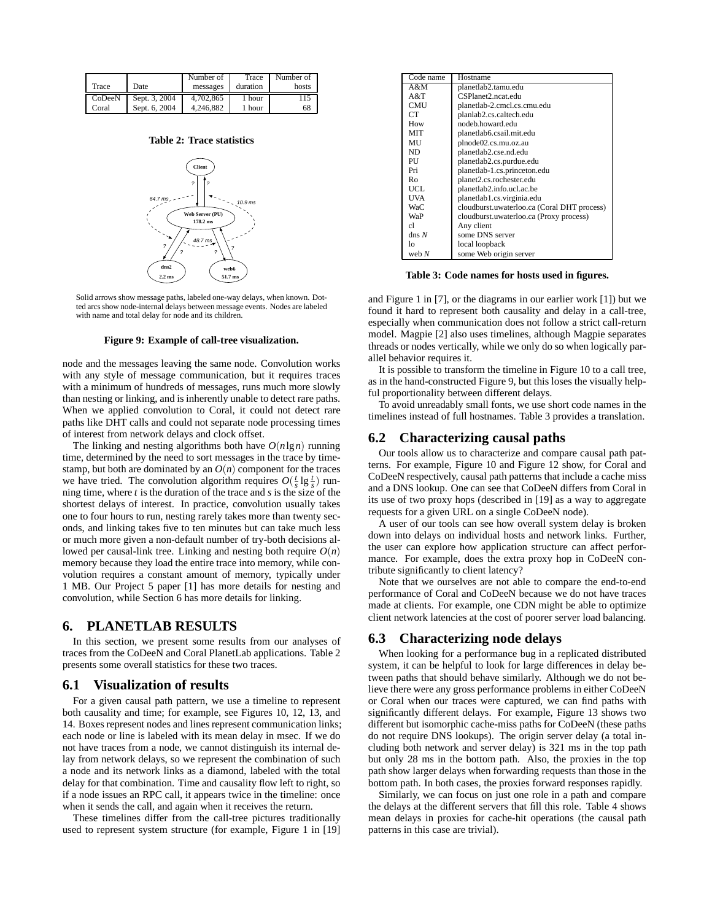|        |               | Number of | Trace    | Number of |
|--------|---------------|-----------|----------|-----------|
| Trace  | Date          | messages  | duration | hosts     |
| CoDeeN | Sept. 3, 2004 | 4.702.865 | 1 hour   | 15        |
| Coral  | Sept. 6, 2004 | 4.246.882 | 1 hour   | 68        |

**Table 2: Trace statistics**



Solid arrows show message paths, labeled one-way delays, when known. Dotted arcs show node-internal delays between message events. Nodes are labeled with name and total delay for node and its children.

#### **Figure 9: Example of call-tree visualization.**

node and the messages leaving the same node. Convolution works with any style of message communication, but it requires traces with a minimum of hundreds of messages, runs much more slowly than nesting or linking, and is inherently unable to detect rare paths. When we applied convolution to Coral, it could not detect rare paths like DHT calls and could not separate node processing times of interest from network delays and clock offset.

The linking and nesting algorithms both have  $O(n \lg n)$  running time, determined by the need to sort messages in the trace by timestamp, but both are dominated by an  $O(n)$  component for the traces we have tried. The convolution algorithm requires  $O(\frac{t}{s} \lg \frac{t}{s})$  running time, where *t* is the duration of the trace and *s* is the size of the shortest delays of interest. In practice, convolution usually takes one to four hours to run, nesting rarely takes more than twenty seconds, and linking takes five to ten minutes but can take much less or much more given a non-default number of try-both decisions allowed per causal-link tree. Linking and nesting both require  $O(n)$ memory because they load the entire trace into memory, while convolution requires a constant amount of memory, typically under 1 MB. Our Project 5 paper [1] has more details for nesting and convolution, while Section 6 has more details for linking.

## **6. PLANETLAB RESULTS**

In this section, we present some results from our analyses of traces from the CoDeeN and Coral PlanetLab applications. Table 2 presents some overall statistics for these two traces.

## **6.1 Visualization of results**

For a given causal path pattern, we use a timeline to represent both causality and time; for example, see Figures 10, 12, 13, and 14. Boxes represent nodes and lines represent communication links; each node or line is labeled with its mean delay in msec. If we do not have traces from a node, we cannot distinguish its internal delay from network delays, so we represent the combination of such a node and its network links as a diamond, labeled with the total delay for that combination. Time and causality flow left to right, so if a node issues an RPC call, it appears twice in the timeline: once when it sends the call, and again when it receives the return.

These timelines differ from the call-tree pictures traditionally used to represent system structure (for example, Figure 1 in [19]

| Code name  | Hostname                                    |
|------------|---------------------------------------------|
| A & M      | planetlab2.tamu.edu                         |
| A & T      | CSPlanet2.ncat.edu                          |
| <b>CMU</b> | planetlab-2.cmcl.cs.cmu.edu                 |
| CT.        | planlab2.cs.caltech.edu                     |
| How        | nodeb.howard.edu                            |
| MIT        | planetlab6.csail.mit.edu                    |
| MU         | plnode02.cs.mu.oz.au                        |
| ND         | planetlab2.cse.nd.edu                       |
| PU         | planetlab2.cs.purdue.edu                    |
| Pri        | planetlab-1.cs.princeton.edu                |
| Ro         | planet2.cs.rochester.edu                    |
| UCL.       | planetlab2.info.ucl.ac.be                   |
| UVA        | planetlab1.cs.virginia.edu                  |
| WaC        | cloudburst.uwaterloo.ca (Coral DHT process) |
| WaP        | cloudburst.uwaterloo.ca (Proxy process)     |
| cl         | Any client                                  |
| Ans N      | some DNS server                             |
| lo         | local loopback                              |
| web $N$    | some Web origin server                      |

**Table 3: Code names for hosts used in figures.**

and Figure 1 in [7], or the diagrams in our earlier work [1]) but we found it hard to represent both causality and delay in a call-tree, especially when communication does not follow a strict call-return model. Magpie [2] also uses timelines, although Magpie separates threads or nodes vertically, while we only do so when logically parallel behavior requires it.

It is possible to transform the timeline in Figure 10 to a call tree, as in the hand-constructed Figure 9, but this loses the visually helpful proportionality between different delays.

To avoid unreadably small fonts, we use short code names in the timelines instead of full hostnames. Table 3 provides a translation.

#### **6.2 Characterizing causal paths**

Our tools allow us to characterize and compare causal path patterns. For example, Figure 10 and Figure 12 show, for Coral and CoDeeN respectively, causal path patterns that include a cache miss and a DNS lookup. One can see that CoDeeN differs from Coral in its use of two proxy hops (described in [19] as a way to aggregate requests for a given URL on a single CoDeeN node).

A user of our tools can see how overall system delay is broken down into delays on individual hosts and network links. Further, the user can explore how application structure can affect performance. For example, does the extra proxy hop in CoDeeN contribute significantly to client latency?

Note that we ourselves are not able to compare the end-to-end performance of Coral and CoDeeN because we do not have traces made at clients. For example, one CDN might be able to optimize client network latencies at the cost of poorer server load balancing.

#### **6.3 Characterizing node delays**

When looking for a performance bug in a replicated distributed system, it can be helpful to look for large differences in delay between paths that should behave similarly. Although we do not believe there were any gross performance problems in either CoDeeN or Coral when our traces were captured, we can find paths with significantly different delays. For example, Figure 13 shows two different but isomorphic cache-miss paths for CoDeeN (these paths do not require DNS lookups). The origin server delay (a total including both network and server delay) is 321 ms in the top path but only 28 ms in the bottom path. Also, the proxies in the top path show larger delays when forwarding requests than those in the bottom path. In both cases, the proxies forward responses rapidly.

Similarly, we can focus on just one role in a path and compare the delays at the different servers that fill this role. Table 4 shows mean delays in proxies for cache-hit operations (the causal path patterns in this case are trivial).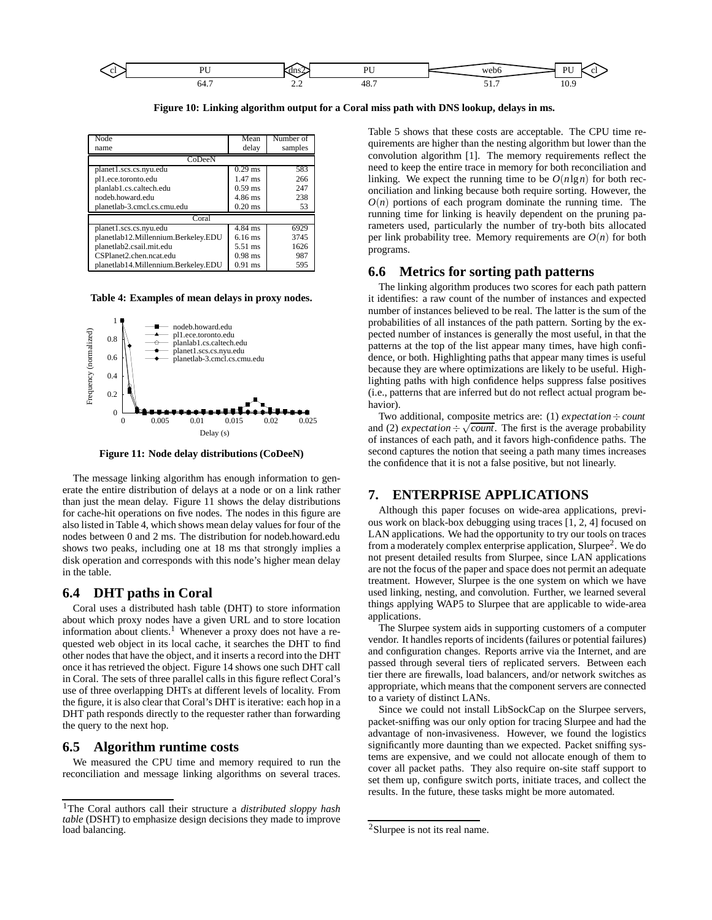

**Figure 10: Linking algorithm output for a Coral miss path with DNS lookup, delays in ms.**

| Node<br>name                           | Mean<br>delay     | Number of<br>samples |  |  |  |  |
|----------------------------------------|-------------------|----------------------|--|--|--|--|
| CoDeeN                                 |                   |                      |  |  |  |  |
| planet1.scs.cs.nyu.edu                 | $0.29$ ms         | 583                  |  |  |  |  |
| pl1.ece.toronto.edu                    | $1.47$ ms         | 266                  |  |  |  |  |
| planlab1.cs.caltech.edu                | $0.59$ ms         | 247                  |  |  |  |  |
| nodeb.howard.edu                       | 4.86 ms           | 238                  |  |  |  |  |
| planetlab-3.cmcl.cs.cmu.edu            | $0.20$ ms         | 53                   |  |  |  |  |
| Coral                                  |                   |                      |  |  |  |  |
| planet1.scs.cs.nyu.edu                 | $4.84 \text{ ms}$ | 6929                 |  |  |  |  |
| planetlab12.Millennium.Berkeley.EDU    | $6.16$ ms         | 3745                 |  |  |  |  |
| planetlab2.csail.mit.edu               | 5.51 ms           | 1626                 |  |  |  |  |
| CSPlanet2.chen.ncat.edu                | $0.98$ ms         | 987                  |  |  |  |  |
| planetlab14. Millennium. Berkeley. EDU | $0.91$ ms         | 595                  |  |  |  |  |

**Table 4: Examples of mean delays in proxy nodes.**



**Figure 11: Node delay distributions (CoDeeN)**

The message linking algorithm has enough information to generate the entire distribution of delays at a node or on a link rather than just the mean delay. Figure 11 shows the delay distributions for cache-hit operations on five nodes. The nodes in this figure are also listed in Table 4, which shows mean delay values for four of the nodes between 0 and 2 ms. The distribution for nodeb.howard.edu shows two peaks, including one at 18 ms that strongly implies a disk operation and corresponds with this node's higher mean delay in the table.

## **6.4 DHT paths in Coral**

Coral uses a distributed hash table (DHT) to store information about which proxy nodes have a given URL and to store location information about clients.<sup>1</sup> Whenever a proxy does not have a requested web object in its local cache, it searches the DHT to find other nodes that have the object, and it inserts a record into the DHT once it has retrieved the object. Figure 14 shows one such DHT call in Coral. The sets of three parallel calls in this figure reflect Coral's use of three overlapping DHTs at different levels of locality. From the figure, it is also clear that Coral's DHT is iterative: each hop in a DHT path responds directly to the requester rather than forwarding the query to the next hop.

#### **6.5 Algorithm runtime costs**

We measured the CPU time and memory required to run the reconciliation and message linking algorithms on several traces.

Table 5 shows that these costs are acceptable. The CPU time requirements are higher than the nesting algorithm but lower than the convolution algorithm [1]. The memory requirements reflect the need to keep the entire trace in memory for both reconciliation and linking. We expect the running time to be  $O(n \lg n)$  for both reconciliation and linking because both require sorting. However, the  $O(n)$  portions of each program dominate the running time. The running time for linking is heavily dependent on the pruning parameters used, particularly the number of try-both bits allocated per link probability tree. Memory requirements are  $O(n)$  for both programs.

#### **6.6 Metrics for sorting path patterns**

The linking algorithm produces two scores for each path pattern it identifies: a raw count of the number of instances and expected number of instances believed to be real. The latter is the sum of the probabilities of all instances of the path pattern. Sorting by the expected number of instances is generally the most useful, in that the patterns at the top of the list appear many times, have high confidence, or both. Highlighting paths that appear many times is useful because they are where optimizations are likely to be useful. Highlighting paths with high confidence helps suppress false positives (i.e., patterns that are inferred but do not reflect actual program behavior).

Two additional, composite metrics are: (1) *expectation*÷*count* and (2) *expectation*  $\div \sqrt{count}$ . The first is the average probability of instances of each path, and it favors high-confidence paths. The second captures the notion that seeing a path many times increases the confidence that it is not a false positive, but not linearly.

## **7. ENTERPRISE APPLICATIONS**

Although this paper focuses on wide-area applications, previous work on black-box debugging using traces [1, 2, 4] focused on LAN applications. We had the opportunity to try our tools on traces from a moderately complex enterprise application, Slurpee<sup>2</sup>. We do not present detailed results from Slurpee, since LAN applications are not the focus of the paper and space does not permit an adequate treatment. However, Slurpee is the one system on which we have used linking, nesting, and convolution. Further, we learned several things applying WAP5 to Slurpee that are applicable to wide-area applications.

The Slurpee system aids in supporting customers of a computer vendor. It handles reports of incidents (failures or potential failures) and configuration changes. Reports arrive via the Internet, and are passed through several tiers of replicated servers. Between each tier there are firewalls, load balancers, and/or network switches as appropriate, which means that the component servers are connected to a variety of distinct LANs.

Since we could not install LibSockCap on the Slurpee servers, packet-sniffing was our only option for tracing Slurpee and had the advantage of non-invasiveness. However, we found the logistics significantly more daunting than we expected. Packet sniffing systems are expensive, and we could not allocate enough of them to cover all packet paths. They also require on-site staff support to set them up, configure switch ports, initiate traces, and collect the results. In the future, these tasks might be more automated.

<sup>1</sup>The Coral authors call their structure a *distributed sloppy hash table* (DSHT) to emphasize design decisions they made to improve load balancing.

<sup>2</sup>Slurpee is not its real name.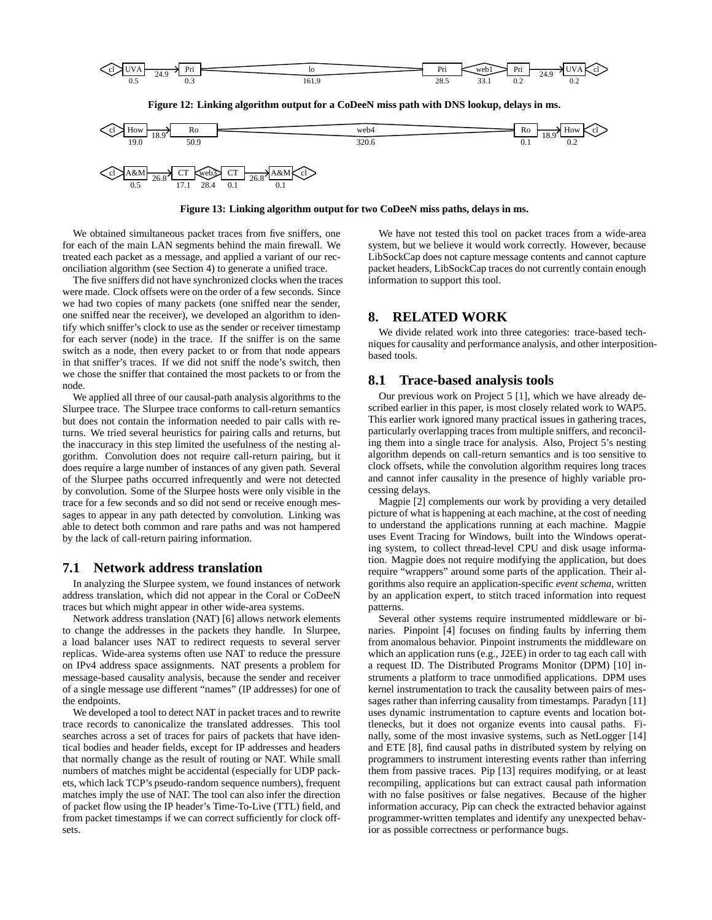

**Figure 12: Linking algorithm output for a CoDeeN miss path with DNS lookup, delays in ms.**



**Figure 13: Linking algorithm output for two CoDeeN miss paths, delays in ms.**

We obtained simultaneous packet traces from five sniffers, one for each of the main LAN segments behind the main firewall. We treated each packet as a message, and applied a variant of our reconciliation algorithm (see Section 4) to generate a unified trace.

The five sniffers did not have synchronized clocks when the traces were made. Clock offsets were on the order of a few seconds. Since we had two copies of many packets (one sniffed near the sender, one sniffed near the receiver), we developed an algorithm to identify which sniffer's clock to use as the sender or receiver timestamp for each server (node) in the trace. If the sniffer is on the same switch as a node, then every packet to or from that node appears in that sniffer's traces. If we did not sniff the node's switch, then we chose the sniffer that contained the most packets to or from the node.

We applied all three of our causal-path analysis algorithms to the Slurpee trace. The Slurpee trace conforms to call-return semantics but does not contain the information needed to pair calls with returns. We tried several heuristics for pairing calls and returns, but the inaccuracy in this step limited the usefulness of the nesting algorithm. Convolution does not require call-return pairing, but it does require a large number of instances of any given path. Several of the Slurpee paths occurred infrequently and were not detected by convolution. Some of the Slurpee hosts were only visible in the trace for a few seconds and so did not send or receive enough messages to appear in any path detected by convolution. Linking was able to detect both common and rare paths and was not hampered by the lack of call-return pairing information.

## **7.1 Network address translation**

In analyzing the Slurpee system, we found instances of network address translation, which did not appear in the Coral or CoDeeN traces but which might appear in other wide-area systems.

Network address translation (NAT) [6] allows network elements to change the addresses in the packets they handle. In Slurpee, a load balancer uses NAT to redirect requests to several server replicas. Wide-area systems often use NAT to reduce the pressure on IPv4 address space assignments. NAT presents a problem for message-based causality analysis, because the sender and receiver of a single message use different "names" (IP addresses) for one of the endpoints.

We developed a tool to detect NAT in packet traces and to rewrite trace records to canonicalize the translated addresses. This tool searches across a set of traces for pairs of packets that have identical bodies and header fields, except for IP addresses and headers that normally change as the result of routing or NAT. While small numbers of matches might be accidental (especially for UDP packets, which lack TCP's pseudo-random sequence numbers), frequent matches imply the use of NAT. The tool can also infer the direction of packet flow using the IP header's Time-To-Live (TTL) field, and from packet timestamps if we can correct sufficiently for clock offsets.

We have not tested this tool on packet traces from a wide-area system, but we believe it would work correctly. However, because LibSockCap does not capture message contents and cannot capture packet headers, LibSockCap traces do not currently contain enough information to support this tool.

## **8. RELATED WORK**

We divide related work into three categories: trace-based techniques for causality and performance analysis, and other interpositionbased tools.

#### **8.1 Trace-based analysis tools**

Our previous work on Project 5 [1], which we have already described earlier in this paper, is most closely related work to WAP5. This earlier work ignored many practical issues in gathering traces, particularly overlapping traces from multiple sniffers, and reconciling them into a single trace for analysis. Also, Project 5's nesting algorithm depends on call-return semantics and is too sensitive to clock offsets, while the convolution algorithm requires long traces and cannot infer causality in the presence of highly variable processing delays.

Magpie [2] complements our work by providing a very detailed picture of what is happening at each machine, at the cost of needing to understand the applications running at each machine. Magpie uses Event Tracing for Windows, built into the Windows operating system, to collect thread-level CPU and disk usage information. Magpie does not require modifying the application, but does require "wrappers" around some parts of the application. Their algorithms also require an application-specific *event schema*, written by an application expert, to stitch traced information into request patterns.

Several other systems require instrumented middleware or binaries. Pinpoint [4] focuses on finding faults by inferring them from anomalous behavior. Pinpoint instruments the middleware on which an application runs (e.g., J2EE) in order to tag each call with a request ID. The Distributed Programs Monitor (DPM) [10] instruments a platform to trace unmodified applications. DPM uses kernel instrumentation to track the causality between pairs of messages rather than inferring causality from timestamps. Paradyn [11] uses dynamic instrumentation to capture events and location bottlenecks, but it does not organize events into causal paths. Finally, some of the most invasive systems, such as NetLogger [14] and ETE [8], find causal paths in distributed system by relying on programmers to instrument interesting events rather than inferring them from passive traces. Pip [13] requires modifying, or at least recompiling, applications but can extract causal path information with no false positives or false negatives. Because of the higher information accuracy, Pip can check the extracted behavior against programmer-written templates and identify any unexpected behavior as possible correctness or performance bugs.